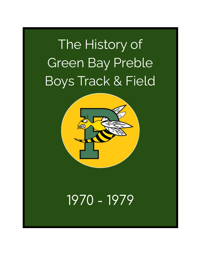# The History of Green Bay Preble Boys Track & Field



## 1970 - 1979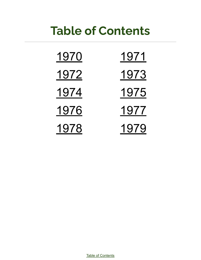## **Table of Contents**

| <u> 1970</u>  | <u> 1971</u>  |
|---------------|---------------|
| <u> 1972 </u> | <u> 1973 </u> |
| <u> 1974</u>  | 1975          |
| <u> 1976</u>  | <u> 1977</u>  |
| 1978          | 1979          |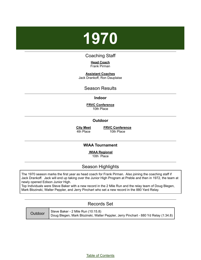# <span id="page-2-0"></span>**1970**

### Coaching Staff

**Head Coach** Frank Pirman

**Assistant Coaches** Jack Drankoff, Ron Dauplaise

#### Season Results

#### **Indoor**

**FRVC Conference** 10th Place

#### **Outdoor**

**City Meet** 4th Place

**FRVC Conference** 10th Place

#### **WIAA Tournament**

**WIAA Regional** 10th Place

### Season Highlights

The 1970 season marks the first year as head coach for Frank Pirman. Also joining the coaching staff if Jack Drankoff. Jack will end up taking over the Junior High Program at Preble and then in 1972, the team at newly opened Edison Junior High.

Top Individuals were Steve Baker with a new record in the 2 Mile Run and the relay team of Doug Blegen, Mark Blozinski, Walter Peppler, and Jerry Pinchart who set a new record in the 880 Yard Relay.

#### Records Set

| Outdoor | Steve Baker - 2 Mile Run (10:15.8)                                                  |
|---------|-------------------------------------------------------------------------------------|
|         | Doug Blegen, Mark Blozinski, Walter Peppler, Jerry Pinchart - 880 Yd Relay (1:34.8) |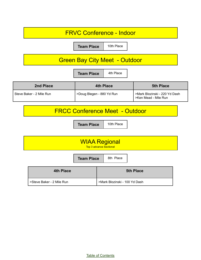| <b>FRVC Conference - Indoor</b>       |                           |                                                        |                                                       |
|---------------------------------------|---------------------------|--------------------------------------------------------|-------------------------------------------------------|
| 10th Place<br><b>Team Place</b>       |                           |                                                        |                                                       |
| <b>Green Bay City Meet - Outdoor</b>  |                           |                                                        |                                                       |
| 4th Place<br><b>Team Place</b>        |                           |                                                        |                                                       |
| 2nd Place                             |                           | <b>4th Place</b>                                       | <b>5th Place</b>                                      |
| Steve Baker - 2 Mile Run              | >Doug Blegen - 880 Yd Run |                                                        | >Mark Blozinski - 220 Yd Dash<br>>Ken Mead - Mile Run |
| <b>FRCC Conference Meet - Outdoor</b> |                           |                                                        |                                                       |
| 10th Place<br><b>Team Place</b>       |                           |                                                        |                                                       |
|                                       |                           |                                                        |                                                       |
|                                       |                           | <b>WIAA Regional</b><br><b>Top 3 advance Sectional</b> |                                                       |
|                                       | <b>Team Place</b>         | 8th Place                                              |                                                       |
| <b>4th Place</b>                      |                           |                                                        | <b>5th Place</b>                                      |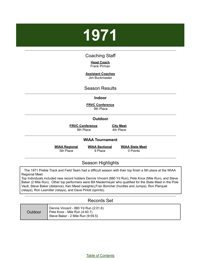# <span id="page-4-0"></span>**1971**

#### Coaching Staff

#### **Head Coach** Frank Pirman

## **Assistant Coaches**

Jim Buckmaster

#### Season Results

#### **Indoor**

**FRVC Conference** 9th Place

#### **Outdoor**

**FRVC Conference** 9th Place

**City Meet** 4th Place

#### **WIAA Tournament**

**WIAA Regional**

5th Place

**WIAA Sectional** 9 Place

**WIAA State Meet** 0 Points

### Season Highlights

The 1971 Preble Track and Field Team had a difficult season with their top finish a 5th place at the WIAA Regional Meet.

Top Individuals included new record holders Dennis Vincent (880 Yd Run), Pete Knox (Mile Run), and Steve Baker (2 Mile Run). Other top performers were Bill Niedermeyer who qualified for the State Meet in the Pole Vault, Steve Baker (distance), Ken Mead (weights),Fran Boncher (hurdles and Jumps), Ron Pierquet (relays), Ron Lesmiller (relays), and Dave Pirlott (sprints).

#### Records Set

| Outdoor | Dennis Vincent - 880 Yd Run (2:01.6)<br>Pete Knox - Mile Run (4:40.7)<br>Steve Baker - 2 Mile Run (9:59.5) |
|---------|------------------------------------------------------------------------------------------------------------|
|---------|------------------------------------------------------------------------------------------------------------|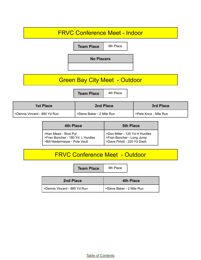## FRVC Conference Meet - Indoor **Team Place** | 9th Place **No Placers** Green Bay City Meet - Outdoor **Team Place** 4th Place **1st Place 2nd Place 3rd Place** >Dennis Vincent - 880 Yd Run | >Steve Baker - 2 Mile Run | >Pete Knox - Mile Run **4th Place 5th Place**

| >Ken Mead - Shot Put<br>>Fran Boncher - 180 Yd. L Hurdles | >Don Miller - 120 Yd H Hurdles<br><b>Starburg 1 Seart Find Seart</b> Find Seng Jump |
|-----------------------------------------------------------|-------------------------------------------------------------------------------------|
| >Bill Niedermeyer - Pole Vault                            | >Dave Pirlott - 220 Yd Dash                                                         |

## FRVC Conference Meet - Outdoor

**Team Place** 9th Place

| 2nd Place                    | <b>4th Place</b>          |
|------------------------------|---------------------------|
| >Dennis Vincent - 880 Yd Run | >Steve Baker - 2 Mile Run |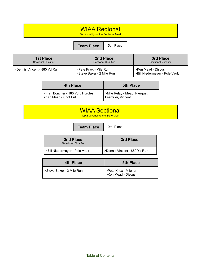## WIAA Regional

Top 4 qualify for the Sectional Meet

#### **Team Place** 5th Place

| <b>1st Place</b>               | 2nd Place                                          | 3rd Place                                            |
|--------------------------------|----------------------------------------------------|------------------------------------------------------|
| <b>Sectional Qualifier</b>     | <b>Sectional Qualifier</b>                         | <b>Sectional Qualifier</b>                           |
| l >Dennis Vincent - 880 Yd Run | >Pete Knox - Mile Run<br>>Steve Baker - 2 Mile Run | >Ken Mead - Discus<br>>Bill Niedermeyer - Pole Vault |

| 4th Place                        | <b>5th Place</b>              |
|----------------------------------|-------------------------------|
| >Fran Boncher - 180 Yd L Hurdles | >Mile Relay - Mead, Pierquet, |
| >Ken Mead - Shot Put             | Lesmiller, Vincent            |

## WIAA Sectional

Top 2 advance to the State Meet

**Team Place** 9th Place

| 2nd Place<br><b>State Meet Qualifier</b> | 3rd Place                    |
|------------------------------------------|------------------------------|
| >Bill Niedermeyer - Pole Vault           | >Dennis Vincent - 880 Yd Run |

| <b>4th Place</b>          | <b>5th Place</b>                            |
|---------------------------|---------------------------------------------|
| >Steve Baker - 2 Mile Run | >Pete Knox - Mile run<br>>Ken Mead - Discus |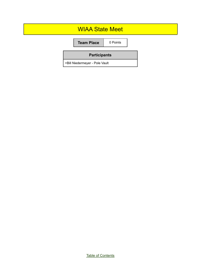## WIAA State Meet **Team Place** 0 Points **Participants** >Bill Niedermeyer - Pole Vault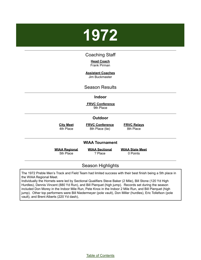# <span id="page-8-0"></span>**1972**

#### Coaching Staff

**Head Coach** Frank Pirman

**Assistant Coaches** Jim Buckmaster

#### Season Results

#### **Indoor**

**FRVC Conference** 9th Place

#### **Outdoor**

**City Meet**

**FRVC Conference** 8th Place (tie)

**FRVC Relays** 8th Place

4th Place

#### **WIAA Tournament**

**WIAA Regional** 5th Place

**WIAA Sectional** ? Place

**WIAA State Meet** 0 Points

#### Season Highlights

The 1972 Preble Men's Track and Field Team had limited success with their best finish being a 5th place in the WIAA Regional Meet.

Individually the Hornets were led by Sectional Qualifiers Steve Baker (2 Mile), Bill Stone (120 Yd High Hurdles), Dennis Vincent (880 Yd Run), and Bill Pierquet (high jump). Records set during the season included Don Morey in the Indoor Mile Run, Pete Knox in the Indoor 2 Mile Run, and Bill Pierquet (high jump). Other top performers were Bill Niedermeyer (pole vault), Don Miller (hurdles), Eric Tollefson (pole vault), and Brent Alberts (220 Yd dash),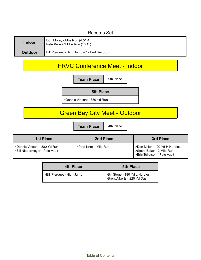#### Records Set

| <b>Indoor</b>  | Don Morey - Mile Run (4:51.4)<br>Pete Knox - 2 Mile Run (10:11) |
|----------------|-----------------------------------------------------------------|
| <b>Outdoor</b> | Bill Pierquet - High Jump (6' - Tied Record)                    |

## FRVC Conference Meet - Indoor

**Team Place** 9th Place

**5th Place**

>Dennis Vincent - 880 Yd Run

## Green Bay City Meet - Outdoor

**Team Place** 4th Place

| <b>1st Place</b>                                                 | 2nd Place             | 3rd Place                                                                                   |
|------------------------------------------------------------------|-----------------------|---------------------------------------------------------------------------------------------|
| I >Dennis Vincent - 880 Yd Run<br>>Bill Niedermeyer - Pole Vault | >Pete Knox - Mile Run | >Don Miller - 120 Yd H Hurdles<br>>Steve Baker - 2 Mile Run<br>>Eric Tollefson - Pole Vault |

| 4th Place                  | <b>5th Place</b>                                                 |
|----------------------------|------------------------------------------------------------------|
| >Bill Pierquet - High Jump | >Bill Stone - 180 Yd L Hurdles<br>  >Brent Alberts - 220 Yd Dash |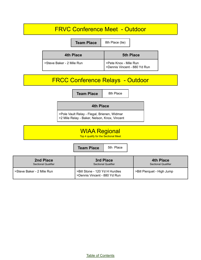## FRVC Conference Meet - Outdoor

| <b>Team Place</b>         | 8th Place (tie)                                       |  |
|---------------------------|-------------------------------------------------------|--|
| 4th Place                 | <b>5th Place</b>                                      |  |
| >Steve Baker - 2 Mile Run | >Pete Knox - Mile Run<br>>Dennis Vincent - 880 Yd Run |  |

## FRCC Conference Relays - Outdoor

**Team Place** 8th Place

#### **4th Place**

>Pole Vault Relay - Flegal, Brienen, Widmar >2 Mile Relay - Baker, Nelson, Knox, Vincent

### WIAA Regional Top 4 qualify for the Sectional Meet

**Team Place** | 5th Place

| 2nd Place                  | 3rd Place                                                      | <b>4th Place</b>           |
|----------------------------|----------------------------------------------------------------|----------------------------|
| <b>Sectional Qualifier</b> | <b>Sectional Qualifier</b>                                     | <b>Sectional Qualifier</b> |
| >Steve Baker - 2 Mile Run  | >Bill Stone - 120 Yd H Hurdles<br>>Dennis Vincent - 880 Yd Run | >Bill Pierquet - High Jump |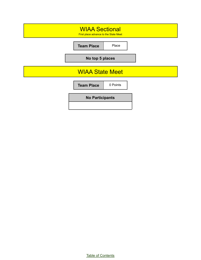| <b>WIAA Sectional</b><br>First place advance to the State Meet |  |  |
|----------------------------------------------------------------|--|--|
| Place<br><b>Team Place</b>                                     |  |  |
| No top 5 places                                                |  |  |
| <b>WIAA State Meet</b>                                         |  |  |
| 0 Points<br><b>Team Place</b>                                  |  |  |
| <b>No Participants</b>                                         |  |  |
|                                                                |  |  |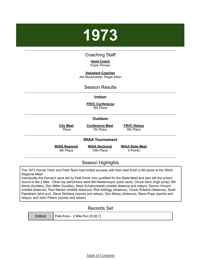# <span id="page-12-0"></span>**1973**

#### Coaching Staff

#### **Head Coach** Frank Pirman

**Assistant Coaches** Jim Buckmaster, Roger Klein

#### Season Results

#### **Indoor**

**FRVC Conference** 9th Place

#### **Outdoor**

**City Meet** Place

**Conference Meet** 7th Place

**FRVC Relays**

6th Place

#### **WIAA Tournament**

**WIAA Regional** 4th Place

**WIAA Sectional** 10th Place

**WIAA State Meet** 0 Points

#### Season Highlights

The 1973 Hornet Track and Field Team had limited success with their best finish a 4th place at the WIAA Regional Meet.

Individually the Hornet's were led by Pete Know who qualified for the State Meet and also set the school record in the 2 Mile. Other top performers were Bill Niedermeyer (pole vault), Chuck Servi (high jump), Bill Stone (hurdles), Don Miller (hurdles), Mark Schahczewski (middle distance and relays), Dennis Vincent (middle distance), Paul Nelson (middle distance), Rick Kellogg (distance), Chuck Roberts (distance), Scott Paplaham (shot put), Steve Stolberg (sprints and relays), Don Morey (distance), Steve Popp (sprints and relays), and John Peters (sprints and relays)

#### Records Set

| Indoc |  |
|-------|--|
|       |  |
|       |  |

 $\text{I}$  Pete Knox - 2 Mile Run (9:38.7)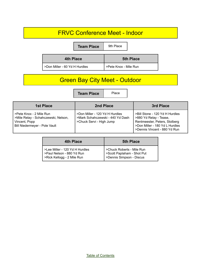## FRVC Conference Meet - Indoor

**Team Place** 9th Place

| <b>4th Place</b>              | <b>5th Place</b>      |  |
|-------------------------------|-----------------------|--|
| >Don Miller - 60 Yd H Hurdles | >Pete Knox - Mile Run |  |

## Green Bay City Meet - Outdoor

**Team Place** Place

| 1st Place                                                                                                        | 2nd Place                                                                                      | 3rd Place                                                                                                                                                   |
|------------------------------------------------------------------------------------------------------------------|------------------------------------------------------------------------------------------------|-------------------------------------------------------------------------------------------------------------------------------------------------------------|
| SPete Knox - 2 Mile Run<br>>Mile Relay - Schahczewski, Nelson,<br>Vincent, Popp<br>Bill Niedermeyer - Pole Vault | >Don Miller - 120 Yd H Hurdles<br>>Mark Schahczewski - 440 Yd Dash<br>>Chuck Servi - High Jump | >Bill Stone - 120 Yd H Hurdles<br>>880 Yd Relay - Tease,<br>Rentmeester, Peters, Stolberg<br>>Don Miller - 180 Yd L Hurdles<br>>Dennis Vincent - 880 Yd Run |

| 4th Place                                                                                 | <b>5th Place</b>                                                                    |
|-------------------------------------------------------------------------------------------|-------------------------------------------------------------------------------------|
| >Lee Miller - 120 Yd H Hurdles<br>>Paul Nelson - 880 Yd Run<br>>Rick Kellogg - 2 Mile Run | >Chuck Roberts - Mile Run<br>>Scott Paplaham - Shot Put<br>>Dennis Simpson - Discus |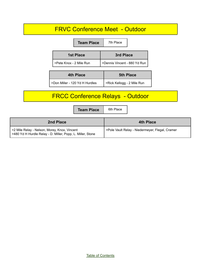## FRVC Conference Meet - Outdoor

|                         | <b>Team Place</b>             | 7th Place                    |  |
|-------------------------|-------------------------------|------------------------------|--|
|                         | <b>1st Place</b><br>3rd Place |                              |  |
| >Pete Knox - 2 Mile Run |                               | >Dennis Vincent - 880 Yd Run |  |
| .                       |                               |                              |  |

| 4th Place                      | <b>5th Place</b>           |  |
|--------------------------------|----------------------------|--|
| >Don Miller - 120 Yd H Hurdles | >Rick Kellogg - 2 Mile Run |  |

## FRCC Conference Relays - Outdoor

**Team Place** 6th Place

| 2nd Place                                                                                                  | <b>4th Place</b>                                |
|------------------------------------------------------------------------------------------------------------|-------------------------------------------------|
| >2 Mile Relay - Nelson, Morey, Knox, Vincent<br>>480 Yd H Hurdle Relay - D. Miller, Popp, L. Miller, Stone | >Pole Vault Relay - Niedermeyer, Flegal, Cramer |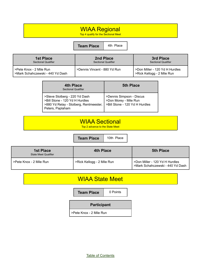## WIAA Regional

Top 4 qualify for the Sectional Meet

#### **Team Place** 4th Place

| <b>1st Place</b>                                            | 2nd Place                    | 3rd Place                                                    |
|-------------------------------------------------------------|------------------------------|--------------------------------------------------------------|
| <b>Sectional Qualifier</b>                                  | <b>Sectional Qualifier</b>   | <b>Sectional Qualifier</b>                                   |
| >Pete Knox - 2 Mile Run<br>>Mark Schahczewski - 440 Yd Dash | >Dennis Vincent - 880 Yd Run | >Don Miller - 120 Yd H Hurdles<br>>Rick Kellogg - 2 Mile Run |

| 4th Place<br><b>Sectional Qualifier</b>                                                                                       | <b>5th Place</b>                                                                    |
|-------------------------------------------------------------------------------------------------------------------------------|-------------------------------------------------------------------------------------|
| >Steve Stolberg - 220 Yd Dash<br>>Bill Stone - 120 Yd H Hurdles<br>>880 Yd Relay - Stolberg, Rentmeester,<br>Peters, Paplaham | >Dennis Simpson - Discus<br>>Don Morey - Mile Run<br>>Bill Stone - 120 Yd H Hurdles |

## WIAA Sectional

Top 2 advance to the State Meet

**Team Place** | 10th Place

| <b>1st Place</b><br>State Meet Qualifier | <b>4th Place</b>           | <b>5th Place</b>                                                   |
|------------------------------------------|----------------------------|--------------------------------------------------------------------|
| >Pete Knox - 2 Mile Run                  | >Rick Kellogg - 2 Mile Run | >Don Miller - 120 Yd H Hurdles<br>>Mark Schahczewski - 440 Yd Dash |

## WIAA State Meet

**Team Place** | 0 Points

**Participant**

>Pete Knox - 2 Mile Run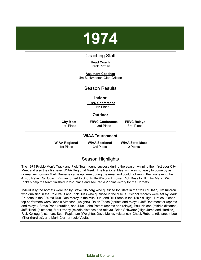<span id="page-16-0"></span>

#### Coaching Staff

**Head Coach**

Frank Pirman

**Assistant Coaches**

Jim Buckmaster, Glen Gritzon

### Season Results

#### **Indoor**

**FRVC Conference** 7th Place

#### **Outdoor**

**City Meet** 1st Place

**FRVC Conference** 3rd Place

**FRVC Relays** 3rd Place

#### **WIAA Tournament**

**WIAA Regional** 1st Place

**WIAA Sectional** 3rd Place

**WIAA State Meet** 0 Points

### Season Highlights

The 1974 Preble Men's Track and Field Team found success during the season winning their first ever City Meet and also their first ever WIAA Regional Meet. The Regional Meet win was not easy to come by as normal anchorman Mark Brunette came up lame during the meet and could not run in the final event, the 4x400 Relay. So Coach Pirman turned to Shot Putter/Discus Thrower Rick Buss to fill in for Mark. With Ricks's help the team finished in 2nd place and secured a 2 point victory for the Hornets.

Individually the hornets were led by Steve Stolberg who qualified for State in the 220 Yd Dash, Jim Killoran who qualified in the Pole Vault and Rick Buss who qualified in the discus. School records were set by Mark Brunette in the 880 Yd Run, Don Morey in the Mile Run, and Bill Stone in the 120 Yd High Hurdles. Other top performers were Dennis Simpson (weights), Ralph Tease (sprints and relays), Jeff Rentmeester (sprints and relays), Steve Popp (hurdles, and 440), John Peters (sprints and relays), Paul Nelson (middle distance), Jeff Hlinek (distance), Mark Yoney (middle distance and relays), Brian Schwartz (High Jump and Hurdles), Rick Kellogg (distance), Scott Paplaham (Weights), Dave Murray (distance), Chuck Roberts (distance), Lee Miller (hurdles), and Mark Cramer (pole Vault).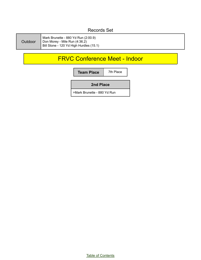## Records Set

| <b>Outdoor</b> | Mark Brunette - 880 Yd Run (2:00.9)<br>Don Morey - Mile Run (4:36.2)<br>Bill Stone - 120 Yd High Hurdles (15.1) |
|----------------|-----------------------------------------------------------------------------------------------------------------|
|----------------|-----------------------------------------------------------------------------------------------------------------|

## FRVC Conference Meet - Indoor

| 7th Place                   |  |
|-----------------------------|--|
| 2nd Place                   |  |
| >Mark Brunette - 880 Yd Run |  |
|                             |  |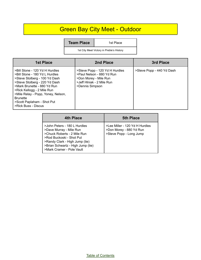## Green Bay City Meet - Outdoor

**Team Place** 1st Place

1st City Meet Victory in Preble's History

| <b>1st Place</b>                                                                                                                                                                                                                                                                                              | 2nd Place                                                                                                                            | 3rd Place                 |
|---------------------------------------------------------------------------------------------------------------------------------------------------------------------------------------------------------------------------------------------------------------------------------------------------------------|--------------------------------------------------------------------------------------------------------------------------------------|---------------------------|
| >Bill Stone - 120 Yd H Hurdles<br>>Bill Stone - 180 Yd L Hurdles<br>>Steve Stolberg - 100 Yd Dash<br>>Steve Stolberg - 220 Yd Dash<br>>Mark Brunette - 880 Yd Run<br>>Rick Kellogg - 2 Mile Run<br>>Mile Relay - Popp, Yoney, Nelson,<br><b>Brunette</b><br>>Scott Paplaham - Shot Put<br>>Rick Buss - Discus | >Steve Popp - 120 Yd H Hurdles<br>>Paul Nelson - 880 Yd Run<br>>Don Morey - Mile Run<br>>Jeff Hlniak - 2 Mile Run<br>>Dennis Simpson | >Steve Popp - 440 Yd Dash |

| 4th Place                                                                                                                                                                                                              | <b>5th Place</b>                                                                     |
|------------------------------------------------------------------------------------------------------------------------------------------------------------------------------------------------------------------------|--------------------------------------------------------------------------------------|
| >John Peters - 180 L Hurdles<br>>Dave Murray - Mile Run<br>>Chuck Roberts - 2 Mile Run<br>>Rod Buckoski - Shot Put<br>>Randy Clark - High Jump (tie)<br>>Brian Schwartz - High Jump (tie)<br>>Mark Cramer - Pole Vault | >Lee Miller - 120 Yd H Hurdles<br>>Don Morey - 880 Yd Run<br>>Steve Popp - Long Jump |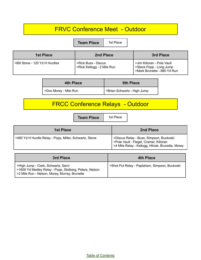## FRVC Conference Meet - Outdoor

**Team Place** | 1st Place

| 1st Place                      | 2nd Place                                         | 3rd Place                                                                           |
|--------------------------------|---------------------------------------------------|-------------------------------------------------------------------------------------|
| >Bill Stone - 120 Yd H Hurdles | >Rick Buss - Discus<br>>Rick Kellogg - 2 Mile Run | >Jim Killoran - Pole Vault<br>Steve Popp - Long Jump<br>>Mark Brunette - 880 Yd Run |

| 4th Place             | <b>5th Place</b>            |
|-----------------------|-----------------------------|
| >Don Morey - Mile Run | >Brian Schwartz - High Jump |

## FRCC Conference Relays - Outdoor

**Team Place** | 1st Place

| 1st Place                                              | 2nd Place                                                                                                                             |
|--------------------------------------------------------|---------------------------------------------------------------------------------------------------------------------------------------|
| >480 Yd H Hurdle Relay - Popp, Miller, Schwartz, Stone | >Discus Relay - Buss, Simpson, Buckoski<br>>Pole Vault - Flegel, Cramer, Killoran<br>>4 Mile Relay - Kellogg, Hlinak, Brunette, Morey |

| 3rd Place                                                                                                                                      | <b>4th Place</b>                              |
|------------------------------------------------------------------------------------------------------------------------------------------------|-----------------------------------------------|
| >High Jump - Clark, Schwartz, Servi<br>>1600 Yd Medley Relay - Popp, Stolberg, Peters, Nelson<br>>2 Mile Run - Nelson, Morey, Murray, Brunette | >Shot Put Relay - Paplaham, Simpson, Buckoski |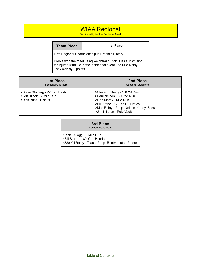## WIAA Regional

Top 4 qualify for the Sectional Meet

**Team Place 1st Place** 

First Regional Championship in Preble's History

Preble won the meet using weightman Rick Buss substituting for injured Mark Brunette in the final event, the Mile Relay. They won by 2 points.

| <b>1st Place</b>                                                                  | 2nd Place                                                                                                                                                                                      |
|-----------------------------------------------------------------------------------|------------------------------------------------------------------------------------------------------------------------------------------------------------------------------------------------|
| <b>Sectional Qualifiers</b>                                                       | <b>Sectional Qualifiers</b>                                                                                                                                                                    |
| >Steve Stolberg - 220 Yd Dash<br>>Jeff Hlinek - 2 Mile Run<br>>Rick Buss - Discus | >Steve Stolberg - 100 Yd Dash<br>>Paul Nelson - 880 Yd Run<br>>Don Morey - Mile Run<br>>Bill Stone - 120 Yd H Hurdles<br>>Mile Relay - Popp, Nelson, Yoney, Buss<br>>Jim Killoran - Pole Vault |

| 3rd Place |
|-----------|
|-----------|

Sectional Qualifiers

>Rick Kellogg - 2 Mile Run >Bill Stone - 180 Yd L Hurdles >880 Yd Relay - Tease, Popp, Rentmeester, Peters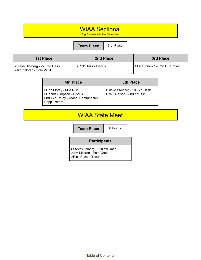## WIAA Sectional

Top 2 advance to the State Meet

**Team Place** | 3rd Place

| <b>1st Place</b>                                             | 2nd Place           | 3rd Place                      |
|--------------------------------------------------------------|---------------------|--------------------------------|
| Steve Stolberg - 220 Yd Dash<br>l >Jim Killoran - Pole Vault | >Rick Buss - Discus | SBill Stone - 120 Yd H Hurdles |

| 4th Place                                                                                                | <b>5th Place</b>                                          |
|----------------------------------------------------------------------------------------------------------|-----------------------------------------------------------|
| >Don Morey - Mile Run<br>>Dennis Simpson - Discus<br>>880 Yd Relay - Tease, Rentmeester,<br>Popp, Peters | Steve Stolberg - 100 Yd Dash<br>>Paul Nelson - 880 Yd Run |

## WIAA State Meet

**Team Place** | 0 Points

#### **Participants**

>Steve Stolberg - 220 Yd Dash >Jim Killoran - Pole Vault

>Rick Buss - Discus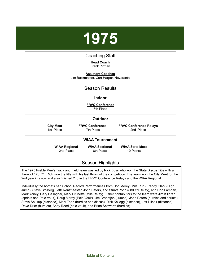<span id="page-22-0"></span>

#### Coaching Staff

#### **Head Coach**

Frank Pirman

**Assistant Coaches**

Jim Buckmaster, Curt Harper, Nevaranta

#### Season Results

#### **Indoor**

**FRVC Conference** 6th Place

#### **Outdoor**

**City Meet** 1st Place **FRVC Conference** 7th Place

**FRVC Conference Relays** 2nd Place

#### **WIAA Tournament**

**WIAA Regional** 2nd Place

**WIAA Sectional** 8th Place

**WIAA State Meet** 10 Points

### Season Highlights

The 1975 Preble Men's Track and Field team was led by Rick Buss who won the State Discus Title with a throw of 170' 7". Rick won the title with his last throw of the competition. The team won the City Meet for the 2nd year in a row and also finished 2nd in the FRVC Conference Relays and the WIAA Regional.

Individually the hornets had School Record Performances from Don Morey (Mile Run), Randy Clark (High Jump), Steve Stolberg, Jeffr Rentmeester, John Peters, and Stuart Popp (880 Yd Relay), and Don Lambert, Mark Yoney, Gary Gallagher, Mark Brunette (Mile Relay). Other contributors to the team were Jim Killoran (sprints and Pole Vault), Doug Morey (Pole Vault), Jim Brandtjen (Jumps), John Peters (hurdles and sprints), Steve Soukup (distance), Mark Tonn (hurdles and discus), Rick Kellogg (distance), Jeff Hlinak (distance), Dave Drier (hurdles), Andy Reed (pole vault), and Brian Schwartz (hurdles).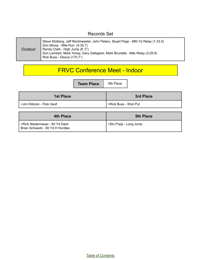### Records Set

| Outdoor | Steve Stolberg, Jeff Rentmeester, John Peters, Stuart Popp - 880 Yd Relay (1:33.5)<br>Don Morey - Mile Run (4:35.7)<br>Randy Clark - High Jump (6' 2")<br>Don Lambert, Mark Yoney, Gary Gallagher, Mark Brunette - Mile Relay (3:29.9)<br>Rick Buss - Discus (170.7") |
|---------|-----------------------------------------------------------------------------------------------------------------------------------------------------------------------------------------------------------------------------------------------------------------------|
|---------|-----------------------------------------------------------------------------------------------------------------------------------------------------------------------------------------------------------------------------------------------------------------------|

## FRVC Conference Meet - Indoor

**Team Place** 6th Place

| <b>1st Place</b>             | 3rd Place               |  |
|------------------------------|-------------------------|--|
| I >Jim Killoran - Pole Vault | l >Rick Buss - Shot Put |  |

| 4th Place                                                          | <b>5th Place</b>     |
|--------------------------------------------------------------------|----------------------|
| >Rick Niedermeyer - 60 Yd Dash<br>Brian Schwartz - 60 Yd H Hurdles | Stu Popp - Long Jump |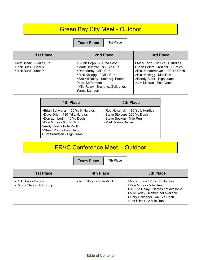## Green Bay City Meet - Outdoor

**Team Place** | 1st Place

| 1st Place                                                                 | 2nd Place                                                                                                                                                                                                                       | 3rd Place                                                                                                                                                                                 |  |
|---------------------------------------------------------------------------|---------------------------------------------------------------------------------------------------------------------------------------------------------------------------------------------------------------------------------|-------------------------------------------------------------------------------------------------------------------------------------------------------------------------------------------|--|
| >Jeff Hlinak - 2 Mile Run<br>>Rick Buss - Discus<br>>Rick Buss - Shot Put | >Stuart Popp - 220 Yd Dash<br>>Mark Brunette - 880 Yd Run<br>>Don Morey - Mile Run<br>>Rick Kellogg - 2 Mile Run<br>>880 Yd Relay - Stolberg, Peters,<br>Popp, McCament<br>>Mile Relay - Brunette, Gallagher,<br>Yoney, Lambert | >Mark Tonn - 120 Yd H Hurdles<br>>John Peters - 180 Yd L Hurdles<br>>Rick Niedermeyer - 100 Yd Dash<br>>Rick Kellogg - Mile Run<br>>Randy Clark - High Jump<br>>Jim Killoran - Pole Vault |  |

| 4th Place                                                                                                                                                                                                          | <b>5th Place</b>                                                                                                   |  |  |
|--------------------------------------------------------------------------------------------------------------------------------------------------------------------------------------------------------------------|--------------------------------------------------------------------------------------------------------------------|--|--|
| >Brian Schwartz - 120 Yd H Hurdles<br>>Dave Drier - 180 Yd L Hurdles<br>>Don Lambert - 440 Yd Dash<br>>Don Morey - 880 Yd Run<br>>Andy Reed - Pole Vault<br>>Stuart Popp - Long Jump<br>>Jim Brandtjen - High Jump | >Rob Holschuh - 180 Yd L Hurdles<br>>Steve Stolberg 220 Yd Dash<br>>Steve Soukup - Mile Run<br>>Mark Tonn - Discus |  |  |

## FRVC Conference Meet - Outdoor

**Team Place** 7th Place

| <b>1st Place</b>                                | <b>4th Place</b>           | <b>5th Place</b>                                                                                                                                                                                 |
|-------------------------------------------------|----------------------------|--------------------------------------------------------------------------------------------------------------------------------------------------------------------------------------------------|
| >Rick Buss - Discus<br>>Randy Clark - High Jump | >Jim Killoran - Pole Vault | >Mark Tonn - 120 Yd H Hurdles<br>>Don Morey - Mile Run<br>>880 Yd Relay - Names not available<br>>Mile Relay - Names not available<br>>Gary Gallagher - 440 Yd Dash<br>>Jeff Hlinak - 2 Mile Run |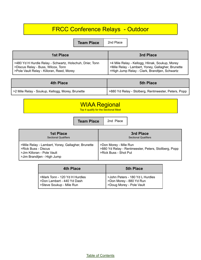## FRCC Conference Relays - Outdoor

**Team Place** 2nd Place

| 1st Place                                                | 3rd Place                                         |
|----------------------------------------------------------|---------------------------------------------------|
| >480 Yd H Hurdle Relay - Schwartz, Holschuh, Drier, Tonn | >4 Mile Relay - Kellogg, Hlinak, Soukup, Morey    |
| >Discus Relay - Buss, Wilcox, Tonn                       | >Mile Relay - Lambert, Yoney, Gallagher, Brunette |
| >Pole Vault Relay - Killoran, Reed, Morey                | >High Jump Relay - Clark, Brandtjen, Schwartz     |

| 4th Place                                          | <b>5th Place</b>                                    |  |
|----------------------------------------------------|-----------------------------------------------------|--|
| 2 >2 Mile Relay - Soukup, Kellogg, Morey, Brunette | >880 Yd Relay - Stolberg, Rentmeester, Peters, Popp |  |

| Top 4 qualify for the Sectional Meet |
|--------------------------------------|
|--------------------------------------|

|                                                                                                                                      | <b>Team Place</b> |                                                                                                        | 2nd Place |  |
|--------------------------------------------------------------------------------------------------------------------------------------|-------------------|--------------------------------------------------------------------------------------------------------|-----------|--|
| <b>1st Place</b><br><b>Sectional Qualifiers</b>                                                                                      |                   | 3rd Place<br><b>Sectional Qualifiers</b>                                                               |           |  |
| >Mile Relay - Lambert, Yoney, Gallagher, Brunette<br>>Rick Buss - Discus<br>>Jim Killoran - Pole Vault<br>>Jim Brandtjen - High Jump |                   | >Don Morey - Mile Run<br>>880 Yd Relay - Rentmeester, Peters, Stollberg, Popp<br>>Rick Buss - Shot Put |           |  |

| 4th Place                                                                               | <b>5th Place</b>                                                                         |  |
|-----------------------------------------------------------------------------------------|------------------------------------------------------------------------------------------|--|
| >Mark Tonn - 120 Yd H Hurdles<br>>Don Lambert - 440 Yd Dash<br>>Steve Soukup - Mile Run | >John Peters - 180 Yd L Hurdles<br>>Don Morey - 880 Yd Run<br>  >Doug Morey - Pole Vault |  |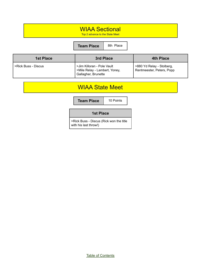## WIAA Sectional

Top 2 advance to the State Meet

**Team Place** 8th Place

| <b>1st Place</b>      | 3rd Place                                                                          | <b>4th Place</b>                                       |
|-----------------------|------------------------------------------------------------------------------------|--------------------------------------------------------|
| l >Rick Buss - Discus | >Jim Killoran - Pole Vault<br>>Mile Relay - Lambert, Yoney,<br>Gallagher, Brunette | >880 Yd Relay - Stolberg,<br>Rentmeester, Peters, Popp |

## WIAA State Meet

**Team Place** 10 Points

#### **1st Place**

>Rick Buss - Discus (Rick won the title with his last throw!)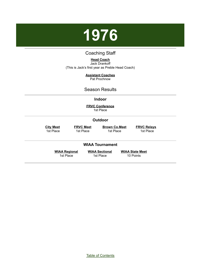

#### Coaching Staff

#### **Head Coach**

<span id="page-27-0"></span>Jack Drankoff (This is Jack's first year as Preble Head Coach)

#### **Assistant Coaches**

Pat Prochnow

#### Season Results

#### **Indoor**

**FRVC Conference** 1st Place

#### **Outdoor**

**City Meet** 1st Place

**FRVC Meet** 1st Place

**Brown Co.Meet** 1st Place

**FRVC Relays** 1st Place

#### **WIAA Tournament**

**WIAA Regional** 1st Place

**WIAA Sectional** 1st Place

**WIAA State Meet** 10 Points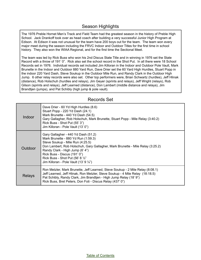#### Season Highlights

The 1976 Preble Hornet Men's Track and Field Team had the greatest season in the history of Preble High School. Jack Drankoff took over as head coach after building a very successful Junior High Program at Edison. At Edison it was not unusual for the team have 200 boys out for the team. The team won every major meet during the season including the FRVC Indoor and Outdoor Titles for the first time in school history. They also won the WIAA Regional, and for the first time the Sectional Meet.

The team was led by Rick Buss who won his 2nd Discus State Title and in winning in 1976 set the State Record with a throw of 191' 0". Rick also set the school record in the Shot Put. In all there were 18 School Records set in 1976. Individual records set included Jim Killoran in the Indoor and Outdoor Pole Vault, Mark Brunette in the Indoor and Outdoor 880 Yard Run, Dave Drier set the 60 Yard High Hurdles, Stuart Popp in the indoor 220 Yard Dash, Steve Soukup in the Outdoor Mile Run, and Randy Clark in the Outdoor High Jump. 6 other relay records were also set. Other top performers were, Brian Schwartz (hurdles), Jeff Hlinak (distance), Rob Holschuh (hurdles and relays), Jim Geyer (sprints and relays), Jeff Wright (relays), Rob Gilson (sprints and relays), Jeff Learned (distance), Don Lambert (middle distance and relays), Jim Brandtjen (jumps), and Pat Schibly (high jump & pole vault).

| Indoor  | Dave Drier - 60 Yd High Hurdles (8.6)<br>Stuart Popp - 220 Yd Dash (24.1)<br>Mark Brunette - 440 Yd Dash (54.5)<br>Gary Gallagher, Rob Holschuh, Mark Brunette, Stuart Popp - Mile Relay (3:40.2)<br>Rick Buss - Shot Put (55' 3")<br>Jim Killoran - Pole Vault (13' 0")                                                                                     |
|---------|--------------------------------------------------------------------------------------------------------------------------------------------------------------------------------------------------------------------------------------------------------------------------------------------------------------------------------------------------------------|
| Outdoor | Gary Gallagher - 440 Yd Dash (51.2)<br>Mark Brunette - 880 Yd Run (1:59.3)<br>Steve Soukup - Mile Run (4:25.5)<br>Don Lambert, Rob Holschuh, Gary Gallagher, Mark Brunette - Mile Relay (3:25.2)<br>Randy Clark - High Jump (6' 4")<br>Rick Buss - Discus (191' 0")<br>Rick Buss - Shot Put (56' 8 1/2"<br>Jim Killoran - Pole Vault (13' 9 $\frac{1}{4}$ ") |
| Relays  | Ron Metzler, Mark Brunette, Jeff Learned, Steve Soukup - 2 Mile Relay (8:08.1)<br>Jeff Learned, Jeff Hlinak, Ron Metzler, Steve Soukup - 4 Mile Relay (18:18.5)<br>Pat Schibly, Randy Clark, Jim Brandtjen - High Jump Relay (18'9")<br>Rick Buss, Bret Peters, Don Foti - Discus Relay (437' 0")                                                            |

#### Records Set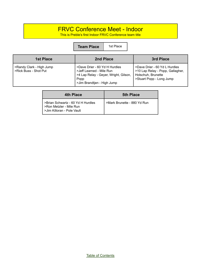## FRVC Conference Meet - Indoor

This is Preble's first Indoor FRVC Conference team title

**Team Place** 1st Place

| <b>1st Place</b>                                  | 2nd Place                                                                                                                                | 3rd Place                                                                                                           |
|---------------------------------------------------|------------------------------------------------------------------------------------------------------------------------------------------|---------------------------------------------------------------------------------------------------------------------|
| >Randy Clark - High Jump<br>>Rick Buss - Shot Put | >Dave Drier - 60 Yd H Hurdles<br>>Jeff Learned - Mile Run<br>>4 Lap Relay - Geyer, Wright, Gilson,<br>Popp<br>>Jim Brandtjen - High Jump | >Dave Drier - 60 Yd L Hurdles<br>>10 Lap Relay - Popp, Gallagher,<br>Holschuh, Brunette<br>>Stuart Popp - Long Jump |

| 4th Place                                                                                  | <b>5th Place</b>            |
|--------------------------------------------------------------------------------------------|-----------------------------|
| >Brian Schwartz - 60 Yd H Hurdles<br>>Ron Metzler - Mile Run<br>>Jim Killoran - Pole Vault | >Mark Brunette - 880 Yd Run |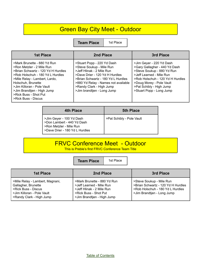## Green Bay City Meet - Outdoor

**Team Place** | 1st Place

| <b>1st Place</b>                                                                                                                                                                                                                                                                                      | 2nd Place                                                                                                                                                                                                                                                    | 3rd Place                                                                                                                                                                                                                                   |
|-------------------------------------------------------------------------------------------------------------------------------------------------------------------------------------------------------------------------------------------------------------------------------------------------------|--------------------------------------------------------------------------------------------------------------------------------------------------------------------------------------------------------------------------------------------------------------|---------------------------------------------------------------------------------------------------------------------------------------------------------------------------------------------------------------------------------------------|
| >Mark Brunette - 880 Yd Run<br>>Ron Metzler - 2 Mile Run<br>>Brian Schwartz - 120 Yd H Hurdles<br>>Rob Holschuh - 180 Yd L Hurdles<br>>Mile Relay - Lambert, Lardo,<br>Holschuh, Brunette<br>>Jim Killoran - Pole Vault<br>>Jim Brandtjen - High Jump<br>>Rick Buss - Shot Put<br>>Rick Buss - Discus | >Stuart Popp - 220 Yd Dash<br>>Steve Soukup - Mile Run<br>>Jeff Hlinak - 2 Mile Run<br>>Dave Drier - 120 Yd H Hurdles<br>>Brian Schwartz - 180 Yd L Hurdles<br>>880 Yd Relay - Names not available<br>>Randy Clark - High Jump<br>>Jim brandtjen - Long Jump | >Jim Geyer - 220 Yd Dash<br>>Gary Gallagher - 440 Yd Dash<br>>Steve Soukup - 880 Yd Run<br>>Jeff Learned - Mile Run<br>>Rob Holschuh - 120 Yd H Hurdles<br>>Doug Morey - Pole Vault<br>>Pat Schibly - High Jump<br>>Stuart Popp - Long Jump |

| 4th Place                                                                                                           | <b>5th Place</b>          |
|---------------------------------------------------------------------------------------------------------------------|---------------------------|
| >Jlm Geyer - 100 Yd Dash<br>>Don Lambert - 440 Yd Dash<br>>Ron Metzler - Mile Run<br>>Dave Drier - 180 Yd L Hurdles | >Pat Schibly - Pole Vault |

## FRVC Conference Meet - Outdoor

This is Preble's first FRVC Conference Team Title

|                                                                                                                                         | 1st Place<br><b>Team Place</b>                                                                                                              |                                                                                                                                  |
|-----------------------------------------------------------------------------------------------------------------------------------------|---------------------------------------------------------------------------------------------------------------------------------------------|----------------------------------------------------------------------------------------------------------------------------------|
| 1st Place                                                                                                                               | 2nd Place                                                                                                                                   | 3rd Place                                                                                                                        |
| >Mile Relay - Lambert, Magnani,<br>Gallagher, Brunette<br>>Rick Buss - Discus<br>>Jim Killoran - Pole Vault<br>>Randy Clark - High Jump | >Mark Brunette - 880 Yd Run<br>>Jeff Learned - Mile Run<br>>Jeff Hlinak - 2 Mile Run<br>>Rick Buss - Shot Put<br>>Jim Brandtjen - High Jump | >Steve Soukup - Mile Run<br>>Brian Schwartz - 120 Yd H Hurdles<br>>Rob Holschuh - 180 Yd L Hurdles<br>>Jim Brandtjen - Long Jump |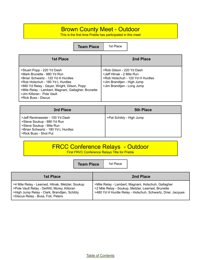## Brown County Meet - Outdoor

This is the first time Preble has participated in this meet

**Team Place** | 1st Place

| <b>1st Place</b>                                                                                                                                                                                                                                                                               | 2nd Place                                                                                                                                              |
|------------------------------------------------------------------------------------------------------------------------------------------------------------------------------------------------------------------------------------------------------------------------------------------------|--------------------------------------------------------------------------------------------------------------------------------------------------------|
| >Stuart Popp - 220 Yd Dash<br>>Mark Brunette - 880 Yd Run<br>>Brian Schwartz - 120 Yd H Hurdles<br>>Rob Holschuh - 180 Yd L Hurdles<br>>880 Yd Relay - Geyer, Wright, Gilson, Popp<br>>Mile Relay - Lambert, Magnani, Gallagher, Brunette<br>>Jim Killoran - Pole Vault<br>>Rick Buss - Discus | >Rob Gilson - 220 Yd Dash<br>>Jeff Hlinak - 2 Mile Run<br>>Rob Holschuh - 120 Yd H Hurdles<br>>Jim Brandtjen - High Jump<br>>Jim Brandtjen - Long Jump |

| 3rd Place                                                                                                                                                | <b>5th Place</b>         |
|----------------------------------------------------------------------------------------------------------------------------------------------------------|--------------------------|
| >Jeff Rentmeester - 100 Yd Dash<br>>Steve Soukup - 880 Yd Run<br>>Steve Soukup - Mile Run<br>>Brian Schwartz - 180 Yd L Hurdles<br>>Rick Buss - Shot Put | >Pat Schibly - High Jump |

## FRCC Conference Relays - Outdoor

First FRVC Conference Relays Title for Preble

٦

|                                                                                                                                                                                       | <b>Team Place</b> | 1st Place |                                                                                                                                                                          |
|---------------------------------------------------------------------------------------------------------------------------------------------------------------------------------------|-------------------|-----------|--------------------------------------------------------------------------------------------------------------------------------------------------------------------------|
| <b>1st Place</b>                                                                                                                                                                      |                   |           | 2nd Place                                                                                                                                                                |
| >4 Mile Relay - Learned, Hlinak, Metzler, Soukup<br>>Pole Vault Relay - DeWitt, Morey, Killoran<br>>High Jump Relay - Clark, Brandtjen, Schibly<br>>Discus Relay - Buss, Foti, Peters |                   |           | >Mile Relay - Lambert, Magnani, Holschuh, Gallagher<br>>2 Mile Relay - Soukup, Metzler, Learned, Brunette<br>>480 Yd H Hurdle Relay - Holschuh, Schwartz, Drier, Jacques |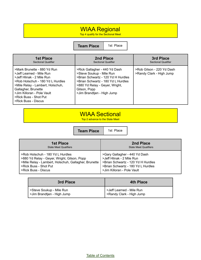## WIAA Regional

Top 4 qualify for the Sectional Meet

**Team Place** 1st Place

| <b>1st Place</b>                                                                                                                                                                                                                                                  | 2nd Place                                                                                                                                                                                                             | 3rd Place                                             |
|-------------------------------------------------------------------------------------------------------------------------------------------------------------------------------------------------------------------------------------------------------------------|-----------------------------------------------------------------------------------------------------------------------------------------------------------------------------------------------------------------------|-------------------------------------------------------|
| <b>Sectional Qualifier</b>                                                                                                                                                                                                                                        | <b>Sectional Qualifier</b>                                                                                                                                                                                            | <b>Sectional Qualifier</b>                            |
| >Mark Brunette - 880 Yd Run<br>>Jeff Learned - Mile Run<br>>Jeff Hlinak - 2 Mile Run<br>>Rob Holschuh - 180 Yd L Hurdles<br>>Mile Relay - Lambert, Holschuh,<br>Gallagher, Brunette<br>>Jim Killoran - Pole Vault<br>>Rick Buss - Shot Put<br>>Rick Buss - Discus | >Rick Gallagher - 440 Yd Dash<br>>Steve Soukup - Mile Run<br>>Brian Schwartz - 120 Yd H Hurdles<br>>Brian Schwartz - 180 Yd L Hurdles<br>>880 Yd Relay - Geyer, Wright,<br>Gilson, Popp<br>>Jim Brandtjen - High Jump | >Rob Gilson - 220 Yd Dash<br>>Randy Clark - High Jump |

## WIAA Sectional

Top 2 advance to the State Meet

**Team Place** | 1st Place

| <b>1st Place</b>                                     | 2nd Place                          |
|------------------------------------------------------|------------------------------------|
| <b>State Meet Qualifiers</b>                         | <b>State Meet Qualifiers</b>       |
| >Rob Holschuh - 180 Yd L Hurdles                     | >Gary Gallagher - 440 Yd Dash      |
| >880 Yd Relay - Geyer, Wright, Gilson, Popp          | >Jeff Hlinak - 2 Mile Run          |
| >Mile Relay - Lambert, Holschuh, Gallagher, Brunette | >Brian Schwartz - 120 Yd H Hurdles |
| >Rick Buss - Shot Put                                | >Brian Schwartz - 180 Yd L Hurdles |
| >Rick Buss - Discus                                  | >Jim Killoran - Pole Vault         |

| 3rd Place                   | <b>4th Place</b>         |
|-----------------------------|--------------------------|
| Steve Soukup - Mile Run     | >Jeff Learned - Mile Run |
| > Jim Brandtjen - High Jump | >Randy Clark - High Jump |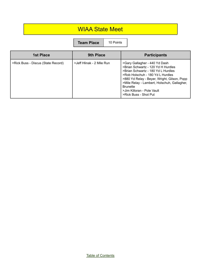## WIAA State Meet

| <b>Team Place</b> | 10 Points |
|-------------------|-----------|
|-------------------|-----------|

| <b>1st Place</b>                   | <b>9th Place</b>          | <b>Participants</b>                                                                                                                                                                                                                                                                                                   |
|------------------------------------|---------------------------|-----------------------------------------------------------------------------------------------------------------------------------------------------------------------------------------------------------------------------------------------------------------------------------------------------------------------|
| >Rick Buss - Discus (State Record) | >Jeff Hlinak - 2 Mile Run | >Gary Gallagher - 440 Yd Dash<br>>Brian Schwartz - 120 Yd H Hurdles<br>>Brian Schwartz - 180 Yd L Hurdles<br>>Rob Holschuh - 180 Yd L Hurdles<br>>880 Yd Relay - Beyer, Wright, Gilson, Popp<br>>Mile Relay - Lambert, Holschuh, Gallagher,<br><b>Brunette</b><br>>Jim Killoran - Pole Vault<br>>Rick Buss - Shot Put |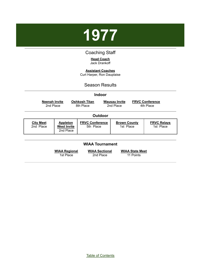

## Coaching Staff

#### **Head Coach** Jack Drankoff

**Assistant Coaches** Curt Harper, Ron Dauplaise

#### Season Results

<span id="page-34-0"></span>

| <b>Indoor</b>                                                           |                                                    |                                     |                                     |                                  |                                     |
|-------------------------------------------------------------------------|----------------------------------------------------|-------------------------------------|-------------------------------------|----------------------------------|-------------------------------------|
|                                                                         | <b>Neenah Invite</b><br>2nd Place                  | <b>Oshkosh Titan</b><br>8th Place   | <b>Wausau Invite</b><br>2nd Place   |                                  | <b>FRVC Conference</b><br>4th Place |
|                                                                         | <b>Outdoor</b>                                     |                                     |                                     |                                  |                                     |
| <b>City Meet</b><br>2nd Place                                           | <b>Appleton</b><br><b>West Invite</b><br>2nd Place | <b>FRVC Conference</b><br>5th Place |                                     | <b>Brown County</b><br>1st Place | <b>FRVC Relays</b><br>1st Place     |
| <b>WIAA Tournament</b>                                                  |                                                    |                                     |                                     |                                  |                                     |
| <b>WIAA Regional</b><br><b>WIAA Sectional</b><br>2nd Place<br>1st Place |                                                    |                                     | <b>WIAA State Meet</b><br>11 Points |                                  |                                     |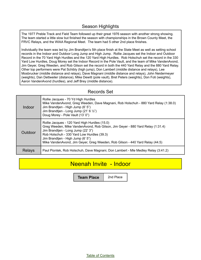#### Season Highlights

The 1977 Preble Track and Field Team followed up their great 1976 season with another strong showing. The team started a little slow but finished the season with championships in the Brown County Meet, the FRVC Relays, and the WIAA Regional Meet. The team had 5 other 2nd place finishes.

Individually the team was led by Jim Brandtjen's 5th place finish at the State Meet as well as setting school records in the Indoor and Outdoor Long Jump and High Jump. Rollie Jacques set the Indoor and Outdoor Record in the 70 Yard High Hurdles and the 120 Yard High Hurdles. Rob Holschuh set the record in the 330 Yard Low Hurdles, Doug Morey set the Indoor Record in the Pole Vault, and the team of Mike VandenAvond, Jim Geyer, Greg Weeden, and Rob Gilson set the record in both the 440 Yard Relay and the 880 Yard Relay. Other top performers were Pat Schibly (high jump), Don Lambert (middle distance and relays), Lee Mosbrucker (middle distance and relays), Dave Magnani (middle distance and relays), John Neidermeyer (weights), Dan Dettweiler (distance), Mike Dewitt (pole vault), Bret Peters (weights), Don Foti (weights), Aaron VandenAvond (hurdles), and Jeff Brey (middle distance).

### Records Set

| Indoor        | Rollie Jacques - 70 Yd High Hurdles<br>Mike VandenAvond, Greg Weeden, Dave Magnani, Rob Holschuh - 880 Yard Relay (1:38.0)<br>Jim Brandtjen - High Jump (6' 5")<br>Jim Brandtjen - Long Jump (21' 6 $\frac{1}{2}$ ")<br>Doug Morey - Pole Vault (13' 0")                                                                                 |
|---------------|------------------------------------------------------------------------------------------------------------------------------------------------------------------------------------------------------------------------------------------------------------------------------------------------------------------------------------------|
| Outdoor       | Rollie Jacques - 120 Yard High Hurdles (15.0)<br>Greg Weeden, Mike VandenAvond, Rob Gilson, Jim Geyer - 880 Yard Relay (1:31.4)<br>Jim Brandtjen - Long Jump (22' 3")<br>Rob Holschuh - 330 Yard Low Hurdles (39.3)<br>Jim Brandtjen - High Jump (6' 5")<br>Mike VandenAvond, Jim Geyer, Greg Weeden, Rob Gilson - 440 Yard Relay (44.5) |
| <b>Relays</b> | Paul Piontek, Rob Holschuh, Dave Magnani, Don Lambert - Mie Medley Relay (3:41.2)                                                                                                                                                                                                                                                        |

## Neenah Invite - Indoor

**Team Place** 2nd Place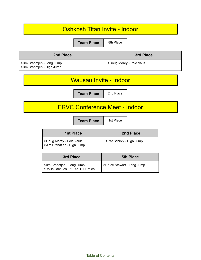| Oshkosh Titan Invite - Indoor                                    |                            |  |
|------------------------------------------------------------------|----------------------------|--|
| 8th Place<br><b>Team Place</b>                                   |                            |  |
| 2nd Place                                                        | <b>3rd Place</b>           |  |
| >Jim Brandtjen - Long Jump<br>>Jim Brandtjen - High Jump         | >Doug Morey - Pole Vault   |  |
| <b>Wausau Invite - Indoor</b>                                    |                            |  |
| 2nd Place<br><b>Team Place</b>                                   |                            |  |
| <b>FRVC Conference Meet - Indoor</b>                             |                            |  |
| 1st Place<br><b>Team Place</b>                                   |                            |  |
| <b>1st Place</b>                                                 | 2nd Place                  |  |
| >Doug Morey - Pole Vault<br>>Jim Brandtjen - High Jump           | >Pat Schibly - High Jump   |  |
| 3rd Place                                                        | <b>5th Place</b>           |  |
| >Jim Brandtjen - Long Jump<br>>Rollie Jacques - 60 Yd. H Hurdles | >Bruce Stewart - Long Jump |  |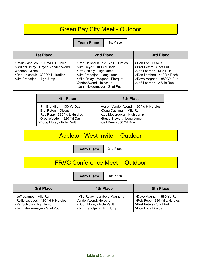## Green Bay City Meet - Outdoor

**Team Place** 1st Place

| <b>1st Place</b>                                                                                                                                              | 2nd Place                                                                                                                                                                                                           | 3rd Place                                                                                                                                                           |
|---------------------------------------------------------------------------------------------------------------------------------------------------------------|---------------------------------------------------------------------------------------------------------------------------------------------------------------------------------------------------------------------|---------------------------------------------------------------------------------------------------------------------------------------------------------------------|
| >Rollie Jacques - 120 Yd H Hurdles<br>>880 Yd Relay - Geyer, VandenAvond,<br>Weeden, Gilson<br>>Rob Holschuh - 330 Yd L Hurdles<br>>Jim Brandtjen - High Jump | >Rob Holschuh - 120 Yd H Hurdles<br>>Jim Geyer - 100 Yd Dash<br>>Pat Schibly - High Jump<br>>Jim Brandtjen - Long Jump<br>>Mile Relay - Magnani, Pierquet,<br>VandenAvond, Holschuh<br>>John Neidermeyer - Shot Put | >Don Foti - Discus<br>>Bret Peters - Shot Put<br>>Jeff Learned - Mile Run<br>>Don Lambert - 440 Yd Dash<br>>Dave Magnani - 880 Yd Run<br>>Jeff Learned - 2 Mile Run |

| 4th Place                    | <b>5th Place</b>                      |
|------------------------------|---------------------------------------|
| >Jim Brandtjen - 100 Yd Dash | >Aaron VandenAvond - 120 Yd H Hurdles |
| >Bret Peters - Discus        | >Doug Cushman - Mile Run              |
| >Rob Popp - 330 Yd L Hurdles | >Lee Mosbrucker - High Jump           |
| >Greg Weeden - 220 Yd Dash   | >Bruce Stewart - Long Jump            |
| >Doug Morey - Pole Vault     | >Jeff Brey - 880 Yd Run               |

## Appleton West Invite - Outdoor

**Team Place** 2nd Place

## FRVC Conference Meet - Outdoor

**Team Place** | 1st Place

| 3rd Place                          | 4th Place                       | <b>5th Place</b>             |
|------------------------------------|---------------------------------|------------------------------|
| >Jeff Learned - Mile Run           | >Mile Relay - Lambert, Magnani, | >Dave Magnani - 880 Yd Run   |
| >Rollie Jacques - 120 Yd H Hurdles | VandenAvond, Holschuh           | >Rob Popp - 330 Yd L Hurdles |
| >Pat Schibly - High Jump           | >Doug Morey - Pole Vault        | >Bret Peters - Shot Put      |
| >John Neidermeyer - Shot Put       | >Jim Brandtjen - High Jump      | >Don Foti - Discus           |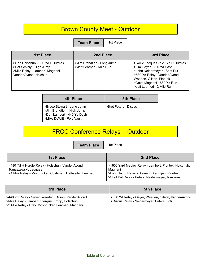## Brown County Meet - Outdoor

**Team Place** | 1st Place

| <b>1st Place</b>                                                                                                        | 2nd Place                                              | 3rd Place                                                                                                                                                                                                             |
|-------------------------------------------------------------------------------------------------------------------------|--------------------------------------------------------|-----------------------------------------------------------------------------------------------------------------------------------------------------------------------------------------------------------------------|
| >Rob Holschuh - 330 Yd L Hurdles<br>>Pat Schibly - High Jump<br>>Mile Relay - Lambert, Magnani,<br>VandenAvond, Holshuh | >Jim Brandtjen - Long Jump<br>>Jeff Learned - Mile Run | >Rollie Jacques - 120 Yd H Hurdles<br>>Jim Geyer - 100 Yd Dash<br>>John Neidermeyer - Shot Put<br>>880 Yd Relay - VandenAvond,<br>Weeden, Gilson, Piontek<br>>Dave Magnani - 880 Yd Run<br>>Jeff Learned - 2 Mile Run |

| 4th Place                                                                                                           | <b>5th Place</b>      |
|---------------------------------------------------------------------------------------------------------------------|-----------------------|
| >Bruce Stewart - Long Jump<br>>Jlm Brandtjen - High Jump<br>>Don Lambert - 440 Yd Dash<br>>Mike DeWitt - Pole Vault | >Bret Peters - Discus |

## FRCC Conference Relays - Outdoor

**Team Place** | 1st Place

| <b>1st Place</b>                                                                                                                    | 2nd Place                                                                                                                                                             |
|-------------------------------------------------------------------------------------------------------------------------------------|-----------------------------------------------------------------------------------------------------------------------------------------------------------------------|
| >480 Yd H Hurdle Relay - Holschuh, VandenAvond,<br>Tomaszewski, Jacques<br>>4 Mile Relay - Mosbrucker, Cushman, Dettweiler, Learned | >1600 Yard Medley Relay - Lambert, Piontek, Holschuh,<br>Magnani<br>>Long Jump Relay - Stewart, Brandtjen, Piontek<br>>Shot Put Relay - Peters, Neidermeyer, Tompkins |

| 3rd Place                                                                                                                                                   | <b>5th Place</b>                                                                                |
|-------------------------------------------------------------------------------------------------------------------------------------------------------------|-------------------------------------------------------------------------------------------------|
| >440 Yd Relay - Geyer, Weeden, Gilson, VandenAvond<br>>Mile Relay - Lambert, Pierquet, Popp, Holschuh<br>>2 Mile Relay - Brey, Mosbrucker, Learned, Magnani | >880 Yd Relay - Geyer, Weeden, Gilson, VandenAvond<br>>Discus Relay - Neidermeyer, Peters, Foti |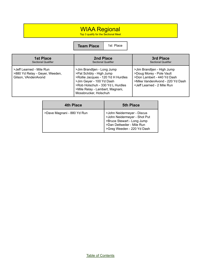## WIAA Regional

Top 3 qualify for the Sectional Meet

**Team Place** | 1st Place

| <b>1st Place</b>                                                                  | 2nd Place                                                                                                                                                                                                                | 3rd Place                                                                                                                                                                           |
|-----------------------------------------------------------------------------------|--------------------------------------------------------------------------------------------------------------------------------------------------------------------------------------------------------------------------|-------------------------------------------------------------------------------------------------------------------------------------------------------------------------------------|
| <b>Sectional Qualifier</b>                                                        | <b>Sectional Qualifier</b>                                                                                                                                                                                               | <b>Sectional Qualifier</b>                                                                                                                                                          |
| >Jeff Learned - Mile Run<br>>880 Yd Relay - Geyer, Weeden,<br>Gilson, VAndenAvond | >Jim Brandtjen - Long Jump<br>>Pat Schibly - High Jump<br>>Rollie Jacques - 120 Yd H Hurdles<br>>Jim Geyer - 100 Yd Dash<br>>Rob Holschuh - 330 Yd L Hurdles<br>>Mile Relay - Lambert, Magnani,<br>Mossbrucker, Holschuh | >Jim Brandtjen - High Jump<br>>Doug Morey - Pole Vault<br>>Don Lambert - 440 Yd Dash<br>>Mike VandenAvond - 220 Yd Dash<br><jeff -="" 2="" learned="" mile="" run<="" td=""></jeff> |

| <b>4th Place</b>           | <b>5th Place</b>                                                                                                                                     |
|----------------------------|------------------------------------------------------------------------------------------------------------------------------------------------------|
| >Dave Magnani - 880 Yd Run | >John Neidermeyer - Discus<br>>John Neidermeyer - Shot Put<br>>Bruce Stewart - Long Jump<br>>Dan Dettweiler - Mile Run<br>>Greg Weeden - 220 Yd Dash |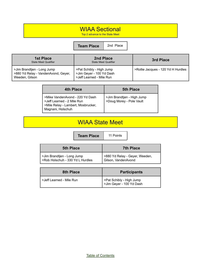## WIAA Sectional

Top 2 advance to the State Meet

**Team Place** 2nd Place

| <b>1st Place</b><br><b>State Meet Qualifier</b>                                     | 2nd Place<br><b>State Meet Qualifier</b>                                         | 3rd Place                          |
|-------------------------------------------------------------------------------------|----------------------------------------------------------------------------------|------------------------------------|
| >Jim Brandtjen - Long Jump<br>>880 Yd Relay - VandenAvond, Geyer,<br>Weeden, Gilson | >Pat Schibly - High Jump<br>>Jim Geyer - 100 Yd Dash<br>>Jeff Learned - Mile Run | >Rollie Jacques - 120 Yd H Hurdles |

| 4th Place                                                                                                                | <b>5th Place</b>                                       |
|--------------------------------------------------------------------------------------------------------------------------|--------------------------------------------------------|
| >Mike VandenAvond - 220 Yd Dash<br>>Jeff Learned - 2 Mile Run<br>>Mile Relay - Lambert, Mosbrucker,<br>Magnani, Holschuh | >Jim Brandtjen - High Jump<br>>Doug Morey - Pole Vault |

## WIAA State Meet

**Team Place** 11 Points

| <b>5th Place</b>                                               | <b>7th Place</b>                                      |
|----------------------------------------------------------------|-------------------------------------------------------|
| >Jim Brandtjen - Long Jump<br>>Rob Holschuh - 330 Yd L Hurdles | >880 Yd Relay - Geyer, Weeden,<br>Gilson, VandenAvond |

| 8th Place                | <b>Participants</b>                                  |
|--------------------------|------------------------------------------------------|
| >Jeff Learned - Mile Run | >Pat Schibly - High Jump<br>>Jim Geyer - 100 Yd Dash |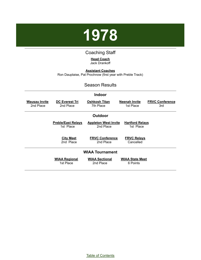

## Coaching Staff

#### **Head Coach** Jack Drankoff

<span id="page-41-0"></span>**Assistant Coaches** Ron Dauplaise, Pat Prochnow (first year with Preble Track)

#### Season Results

|                                   |                                        | <b>Indoor</b>                            |                                     |                               |
|-----------------------------------|----------------------------------------|------------------------------------------|-------------------------------------|-------------------------------|
| <u>Wausau Invite</u><br>2nd Place | <b>DC Everest Tri</b><br>2nd Place     | <b>Oshkosh Titan</b><br>7th Place        | <b>Neenah Invite</b><br>1st Place   | <b>FRVC Conference</b><br>3rd |
|                                   |                                        | Outdoor                                  |                                     |                               |
|                                   | <b>Preble/East Relays</b><br>1st Place | <b>Appleton West Invite</b><br>2nd Place | <b>Hartford Relays</b><br>1st Place |                               |
|                                   | <b>City Meet</b><br>2nd Place          | <b>FRVC Conference</b><br>2nd Place      | <b>FRVC Relays</b><br>Cancelled     |                               |
|                                   |                                        | <b>WIAA Tournament</b>                   |                                     |                               |
|                                   | <b>WIAA Regional</b><br>1st Place      | <b>WIAA Sectional</b><br>2nd Place       | <b>WIAA State Meet</b><br>6 Points  |                               |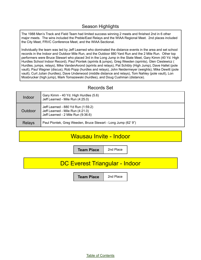#### Season Highlights

The 1988 Men's Track and Field Team had limited success winning 2 meets and finished 2nd in 6 other major meets. The wins included the Preble/East Relays and the WIAA Regional Meet. 2nd places included the City Meet, FRVC Conference Meet, and the WIAA Sectional.

Individually the team was led by Jeff Learned who dominated the distance events in the area and set school records in the Indoor and Outdoor Mile Run, and the Outdoor 880 Yard Run and the 2 Mile Run. Other top performers were Bruce Stewart who placed 3rd in the Long Jump in the State Meet, Gary Kimm (40 Yd. High Hurdles School Indoor Record), Paul Piontek (sprints & jumps), Greg Weeden (sprints), Glen Cieslewicz ( Hurdles, jumps, relays), Mike VandenAvond (sprints and relays), Pat Schibly (High Jump), Dave Hallet (pole vault), Paul Wagner (discus), Rob Popp (hurdles and relays), John Neidermeyer (weights), Mike Dewitt (pole vault), Curt Julian (hurdles), Dave Underwood (middle distance and relays), Tom Nahley (pole vault), Lon Mosbrucker (high jump), Mark Tomazewski (hurdles), and Doug Cushman (distance).

#### Records Set

| Indoor  | Gary Kimm - 40 Yd. High Hurdles (5.6)<br>Jeff Learned - Mile Run (4:25.0)                                    |
|---------|--------------------------------------------------------------------------------------------------------------|
| Outdoor | Jeff Learned - 880 Yd Run (1:59.2)<br>Jeff Learned - Mile Run (4:21.0)<br>Jeff Learned - 2 Mile Run (9:36.6) |
| Relays  | Paul Piontek, Greg Weeden, Bruce Stewart - Long Jump (62' 9")                                                |

## Wausau Invite - Indoor

**Team Place** | 2nd Place

## DC Everest Triangular - Indoor

**Team Place** | 2nd Place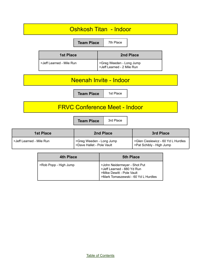

| PROD POPP - FIIGH JUMP | <b>PUTTE INCIDENTLY</b> PUT FULL PUT |
|------------------------|--------------------------------------|
|                        | > Jeff Learned - 880 Yd Run          |
|                        | >Mike Dewitt - Pole Vault            |
|                        | >Mark Tomaszewski - 60 Yd L Hurdles  |
|                        |                                      |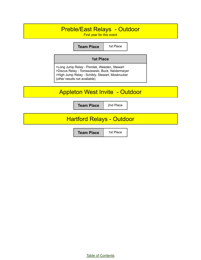## Preble/East Relays - Outdoor

First year for this event

**Team Place** | 1st Place

#### **1st Place**

>Long Jump Relay - Piontek, Weeden, Stewart >Discus Relay - Tomaszewski, Buck, Neidermeyer >High Jump Relay - Schibly, Stewart, Mosbrucker (other results not available)

## Appleton West Invite - Outdoor

**Team Place** 2nd Place

## Hartford Relays - Outdoor

**Team Place** | 1st Place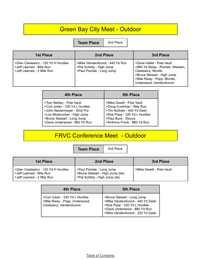## Green Bay City Meet - Outdoor

**Team Place** 2nd Place

| <b>1st Place</b>                                                                              | 2nd Place                                                                               | 3rd Place                                                                                                                                                                  |
|-----------------------------------------------------------------------------------------------|-----------------------------------------------------------------------------------------|----------------------------------------------------------------------------------------------------------------------------------------------------------------------------|
| >Glen Cieslewicz - 120 Yd H Hurdles<br>>Jeff Learned - Mile Run<br>>Jeff Learned - 2 Mile Run | >Mike VandenAvond - 440 Yd Run<br>>Pat Schibly - High Jump<br>>Paul Piontek - Long Jump | >Dave Hallet - Pole Vault<br>>880 Yd Relay - Piontek, Weeden,<br>Cieslewicz, Montie<br>>Bruce Stewart - High Jump<br>>Mile Relay - Popp, Montie,<br>Underwood, VandenAvond |

| <b>4th Place</b>                | <b>5th Place</b>             |
|---------------------------------|------------------------------|
| >Tom Nahley - Pole Vault        | >Mike Dewitt - Pole Vault    |
| >Curt Julian - 330 Yd L Hurdles | >Doug Cushman - Mile Run     |
| >John Neidermeyer - Shot Put    | >Tim Nuthals - 440 Yd Dash   |
| >Lon Mosbrucker - High Jump     | >Rob Popp - 330 Yd L Hurdles |
| >Bruce Stewart - Long Jump      | >Paul Buck - Discus          |
| >Dave Underwood - 880 Yd Run    | >Anthony Frook - 880 Yd Run  |

## FRVC Conference Meet - Outdoor

**Team Place** 2nd Place

| <b>1st Place</b>                                                                              | 2nd Place                                                                                       | 3rd Place                 |
|-----------------------------------------------------------------------------------------------|-------------------------------------------------------------------------------------------------|---------------------------|
| >Glen Cieslewicz - 120 Yd H Hurdles<br>>Jeff Learned - Mile Run<br>>Jeff Learned - 2 Mile Run | >Paul Piontek - Long Jump<br>>Bruce Stewart - High Jump (tie)<br>>Pat Schibly - High Jump (tie) | >Mike Dewitt - Pole Vault |

| 4th Place                                                                                    | <b>5th Place</b>                                                                                                                                                 |
|----------------------------------------------------------------------------------------------|------------------------------------------------------------------------------------------------------------------------------------------------------------------|
| >Curt Julian - 330 Yd L Hurdles<br>>Mile Relay - Popp, Underwood,<br>Cieslewicz, VandenAvond | >Bruce Stewart - Long Jump<br>>Mike VandenAvond - 440 Yd Dash<br>>Rob Popp - 330 Yd L Hurdles<br>>Dave Underwood - 880 Yd Run<br>>Mike VandenAvond - 220 Yd Dash |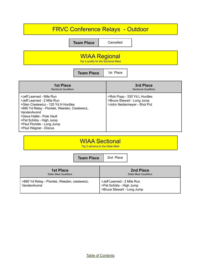## FRVC Conference Relays - Outdoor

**Team Place** Cancelled

## WIAA Regional

Top 4 qualify for the Sectional Meet

**Team Place** 1st Place

| <b>1st Place</b>                                                                                                                                                                                                                                                            | 3rd Place                                                                                  |
|-----------------------------------------------------------------------------------------------------------------------------------------------------------------------------------------------------------------------------------------------------------------------------|--------------------------------------------------------------------------------------------|
| <b>Sectional Qualifiers</b>                                                                                                                                                                                                                                                 | <b>Sectional Qualifiers</b>                                                                |
| >Jeff Learned - Mile Run<br>>Jeff Learned - 2 Mile Run<br>>Glen Cieslewicz - 120 Yd H Hurdles<br>>880 Yd Relay - Piontek, Weeden, Cieslewicz,<br>VandenAvond<br>>Dave Hallet - Pole Vault<br>>Pat Schibly - High Jump<br>>Paul Piontek - Long Jump<br>>Paul Wagner - Discus | >Rob Popp - 330 Yd L Hurdles<br>>Bruce Stewart - Long Jump<br>>John Neidermeyer - Shot Put |

## WIAA Sectional

Top 2 advance to the State Meet

|                                                             | <b>Team Place</b> | 2nd Place                                                                            |                                           |
|-------------------------------------------------------------|-------------------|--------------------------------------------------------------------------------------|-------------------------------------------|
| <b>1st Place</b><br><b>State Meet Qualifiers</b>            |                   |                                                                                      | 2nd Place<br><b>State Meet Qualifiers</b> |
| >880 Yd Relay - Piontek, Weeden, cieslewicz,<br>VandenAvond |                   | >Jeff Learned - 2 Mile Run<br>>Pat Schibly - High Jump<br>>Bruce Stewart - Long Jump |                                           |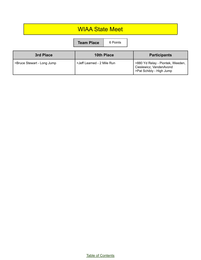## WIAA State Meet **Team Place** 6 Points

| 3rd Place                  | <b>10th Place</b>          | <b>Participants</b>                                                                     |
|----------------------------|----------------------------|-----------------------------------------------------------------------------------------|
| >Bruce Stewart - Long Jump | >Jeff Learned - 2 Mile Run | >880 Yd Relay - Piontek, Weeden,<br>Cieslewicz, VandenAvond<br>>Pat Schibly - High Jump |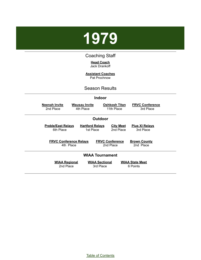<span id="page-48-0"></span>

## Coaching Staff

**Head Coach** Jack Drankoff

**Assistant Coaches** Pat Prochnow

Season Results

|                        |                                            |                                     | <b>Indoor</b>                       |                                     |  |
|------------------------|--------------------------------------------|-------------------------------------|-------------------------------------|-------------------------------------|--|
|                        | <b>Neenah Invite</b><br>2nd Place          | <b>Wausau Invite</b><br>4th Place   | <b>Oshkosh Titan</b><br>11th Place  | <b>FRVC Conference</b><br>3rd Place |  |
|                        |                                            |                                     | <b>Outdoor</b>                      |                                     |  |
|                        | <b>Preble/East Relays</b><br>6th Place     | <b>Hartford Relays</b><br>1st Place | <b>City Meet</b><br>2nd Place       | <b>Pius XI Relays</b><br>3rd Place  |  |
|                        | <b>FRVC Conference Relays</b><br>4th Place |                                     | <b>FRVC Conference</b><br>2nd Place | <b>Brown County</b><br>2nd Place    |  |
| <b>WIAA Tournament</b> |                                            |                                     |                                     |                                     |  |
|                        | <b>WIAA Regional</b><br>2nd Place          | 3rd Place                           | <b>WIAA Sectional</b>               | <b>WIAA State Meet</b><br>6 Points  |  |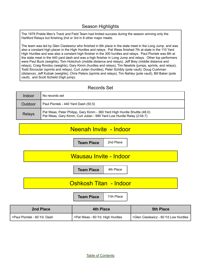#### Season Highlights

The 1979 Preble Men's Track and Field Team had limited success during the season winning only the Hartford Relays but finishing 2nd or 3rd in 8 other major meets.

The team was led by Glen Cieslewicz who finished in 6th place in the state meet in the Long Jump. and was also a constant high placer in the High Hurdles and relays. Pat Weas finished 7th at state in the 110 Yard High Hurdles and was also a constant high finisher in the 300 hurdles and relays. Paul Piontek was 8th at the state meet in the 440 yard dash and was a high finisher in Long Jump and relays. Other top performers were Paul Buck (weights), Tom Holschuh (middle distance and relays), Jeff Brey (middle distance and relays), Craig Rondou (weights), Gary Kimm (hurdles and relays), Tim Newtols (jumps, sprints, and relays), Todd Sincoular (sprints and relays), Curt Julian (hurdles), Peter Schibly (pole vault), Doug Cushman (distance), Jeff Kubiak (weights), Chris Peters (sprints and relays), Tim Nahley (pole vault), Bill Baker (pole vault), and Scott Schield (high jump).

#### Records Set

| Indoor        | No records set                                                                                                                                    |
|---------------|---------------------------------------------------------------------------------------------------------------------------------------------------|
| Outdoor       | Paul Piontek - 440 Yard Dash (50.5)                                                                                                               |
| <b>Relays</b> | Pat Weas, Peter Philipp, Gary Kimm - 360 Yard High Hurdle Shuttle (48.0)<br>Pat Weas, Gary Kimm, Curt Julian - 990 Yard Low Hurdle Relay (2:04.7) |



| 2nd Place                     | 4th Place                       | <b>5th Place</b>                     |
|-------------------------------|---------------------------------|--------------------------------------|
| I >Paul Piontek - 60 Yd. Dash | >Pat Weas - 60 Yd. High Hurdles | >Glen Cieslewicz - 60 Yd Low Hurdles |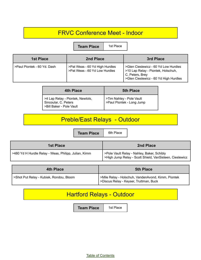## FRVC Conference Meet - Indoor

**Team Place** | 1st Place

| <b>1st Place</b>            | 2nd Place                                                       | 3rd Place                                                                                                                              |
|-----------------------------|-----------------------------------------------------------------|----------------------------------------------------------------------------------------------------------------------------------------|
| >Paul Piontek - 60 Yd. Dash | >Pat Weas - 60 Yd High Hurdles<br>>Pat Weas - 60 Yd Low Hurdles | >Glen Cieslewicz - 60 Yd Low Hurdles<br>>10 Lap Relay - Piontek, Holschuh,<br>C. Peters, Brey<br>>Glen Cieslewicz - 60 Yd High Hurdles |

| <b>4th Place</b>                                                                     | <b>5th Place</b>                                      |
|--------------------------------------------------------------------------------------|-------------------------------------------------------|
| >4 Lap Relay - Piontek, Newtols,<br>Sincoular, C. Peters<br>>Bill Baker - Pole Vault | >Tim Nahley - Pole Vault<br>>Paul Piontek - Long Jump |

## Preble/East Relays - Outdoor

**Team Place** | 6th Place

| 1st Place                                            | 2nd Place                                                                                             |
|------------------------------------------------------|-------------------------------------------------------------------------------------------------------|
| >480 Yd H Hurdle Relay - Weas, Philipp, Julian, Kimm | >Pole Vault Relay - Nahley, Baker, Schibly<br>>High Jump Relay - Scott Shield, VanSisteen, Cieslewicz |

| 4th Place                              | <b>5th Place</b>                                                                               |
|----------------------------------------|------------------------------------------------------------------------------------------------|
| Shot Put Relay - Kubiak, Rondou, Bloom | I >Mile Relay - Holschuh, VandenAvond, Kimm, Piontek<br>>Discus Relay - Keyser, Truttman, Buck |

## Hartford Relays - Outdoor

**Team Place** | 1st Place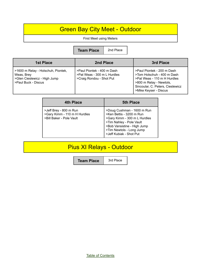## Green Bay City Meet - Outdoor

#### First Meet using Meters

**Team Place** 2nd Place

| 1st Place                                                                                               | 2nd Place                                                                             | 3rd Place                                                                                                                                                                       |
|---------------------------------------------------------------------------------------------------------|---------------------------------------------------------------------------------------|---------------------------------------------------------------------------------------------------------------------------------------------------------------------------------|
| >1600 m Relay - Holschuh, Piontek,<br>Weas, Brey<br>>Glen Cieslewicz - High Jump<br>>Paul Buck - Discus | >Paul Piontek - 400 m Dash<br>>Pat Weas - 300 m L Hurdles<br>>Craig Rondou - Shot Put | >Paul Piontek - 200 m Dash<br>>Tom Holschuh - 400 m Dash<br>>Pat Weas - 110 m H Hurdles<br>>800 m Relay - Newtols,<br>Sincoular, C. Peters, Cieslewicz<br>>Mike Keyser - Discus |

| 4th Place                                                                          | <b>5th Place</b>                                                                                                                                                                                         |
|------------------------------------------------------------------------------------|----------------------------------------------------------------------------------------------------------------------------------------------------------------------------------------------------------|
| >Jeff Brey - 800 m Run<br>>Gary Kimm - 110 m H Hurdles<br>>Bill Baker - Pole Vault | >Doug Cushman - 1600 m Run<br>>Ken Bettis - 3200 m Run<br>>Gary Kimm - 300 m L Hurdles<br>>Tim Nahley - Pole Vault<br>>Bob Vansistine - High Jump<br>>Tim Newtols - Long Jump<br>>Jeff Kubiak - Shot Put |

## Pius XI Relays - Outdoor

**Team Place** | 3rd Place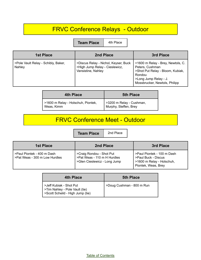## FRVC Conference Relays - Outdoor

**Team Place** 4th Place

| 1st Place                                     | 2nd Place                                                                                    | 3rd Place                                                                                                                                                    |
|-----------------------------------------------|----------------------------------------------------------------------------------------------|--------------------------------------------------------------------------------------------------------------------------------------------------------------|
| >Pole Vault Relay - Schibly, Baker,<br>Nahley | >Discus Relay - Nichol, Keyser, Buck<br>>High Jump Relay - Cieslewicz,<br>Vansistine, Nahley | >1600 m Relay - Brey, Newtols, C.<br>Peters, Cushman<br>>Shot Put Relay - Bloom, Kubiak,<br>Rondou<br>>Long Jump Relay - J.<br>Mossbrucker, Newtols, Philipp |

| 4th Place                                        | <b>5th Place</b>                                  |
|--------------------------------------------------|---------------------------------------------------|
| >1600 m Relay - Holschuh, Piontek,<br>Weas, Kimm | >3200 m Relay - Cushman,<br>Murphy, Steffen, Brey |

## FRVC Conference Meet - Outdoor

**Team Place** 2nd Place

| 1st Place                                                       | 2nd Place                                                                               | 3rd Place                                                                                             |
|-----------------------------------------------------------------|-----------------------------------------------------------------------------------------|-------------------------------------------------------------------------------------------------------|
| I >Paul Piontek - 400 m Dash<br>l >Pat Weas - 300 m Low Hurdles | >Craig Rondou - Shot Put<br>>Pat Weas - 110 m H Hurdles<br>>Glen Cieslewicz - Long Jump | >Paul Piontek - 100 m Dash<br>>Paul Buck - Discus<br>>1600 m Relay - Holschuh,<br>Piontek, Weas, Brey |

| 4th Place                                                                                     | <b>5th Place</b>          |
|-----------------------------------------------------------------------------------------------|---------------------------|
| >Jeff Kubiak - Shot Put<br>>Tim Nahley - Pole Vault (tie)<br>>Scott Scheild - High Jump (tie) | >Doug Cushman - 800 m Run |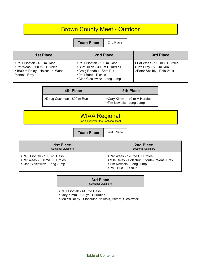## Brown County Meet - Outdoor

**Team Place** | 2nd Place

| <b>1st Place</b>                                                                                              | 2nd Place                                                                                                                                       | 3rd Place                                                                            |
|---------------------------------------------------------------------------------------------------------------|-------------------------------------------------------------------------------------------------------------------------------------------------|--------------------------------------------------------------------------------------|
| >Paul Piontek - 400 m Dash<br>>Pat Weas - 300 m L Hurdles<br>>1600 m Relay - Holschuh, Weas,<br>Piontek, Brey | >Paul Piontek - 100 m Dash<br>>Curt Julian - 300 m L Hurdles<br>>Craig Rondou - Shot Put<br>>Paul Buck - Discus<br>>Glen Cieslewicz - Long Jump | >Pat Weas - 110 m H Hurdles<br>>Jeff Brey - 800 m Run<br>>Peter Schibly - Pole Vault |

| 4th Place                 | <b>5th Place</b>                                         |
|---------------------------|----------------------------------------------------------|
| >Doug Cushman - 800 m Run | >Gary Kimm - 110 m H Hurdles<br>>Tim Newtols - Long Jump |

| <b>WIAA Regional</b><br>Top 4 qualify for the Sectional Meet |                   |           |                                          |
|--------------------------------------------------------------|-------------------|-----------|------------------------------------------|
|                                                              | <b>Team Place</b> | 2nd Place |                                          |
| <b>1st Place</b><br><b>Sectional Qualifiers</b>              |                   |           | 2nd Place<br><b>Sectional Qualifiers</b> |

>Paul Piontek - 100 Yd. Dash >Pat Weas - 330 Yd. L Hurdles >Glen Cieslewicz - Long Jump

#### **3rd Place**

>Pat Weas - 120 Yd H Hurdles

>Tim Newtols - Long Jump >Paul Buck - Discus

>Mile Relay - Holschuh, Piontek, Weas, Brey

Sectional Qualifiers

>Paul Piontek - 440 Yd Dash >Gary Kimm - 120 yd H Hurdles >880 Yd Relay - Sincoular, Newtols, Peters, Cieslewicz